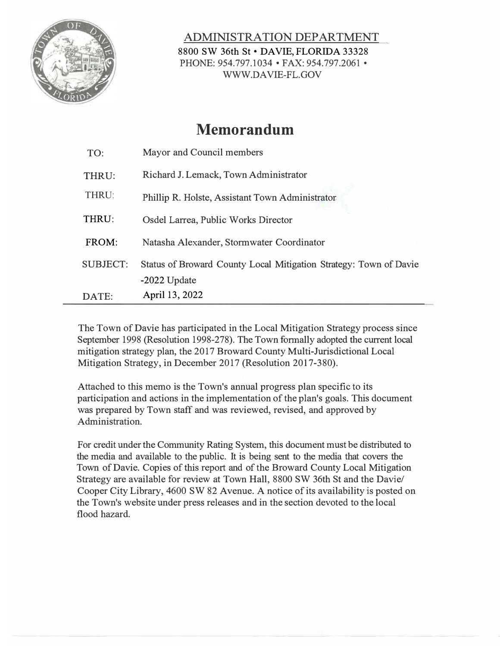

ADMINISTRATION DEPARTMENT 8800 SW 36th St • DAVIE, FLORIDA 33328 PHONE: 954.797.1034 • FAX: 954.797.2061 • WW.DAVIE-FL.GOV

## **Memorandum**

| TO:             | Mayor and Council members                                         |
|-----------------|-------------------------------------------------------------------|
| THRU:           | Richard J. Lemack, Town Administrator                             |
| THRU:           | Phillip R. Holste, Assistant Town Administrator                   |
| THRU:           | Osdel Larrea, Public Works Director                               |
| FROM:           | Natasha Alexander, Stormwater Coordinator                         |
| <b>SUBJECT:</b> | Status of Broward County Local Mitigation Strategy: Town of Davie |
|                 | $-2022$ Update                                                    |
| DATE:           | April 13, 2022                                                    |

The Town of Davie has participated in the Local Mitigation Strategy process since September 1998 (Resolution 1998-278). The Town formally adopted the current local mitigation strategy plan, the 2017 Broward County Multi-Jurisdictional Local Mitigation Strategy, in December 2017 (Resolution 2017-380).

Attached to this memo is the Town's annual progress plan specific to its participation and actions in the implementation of the plan's goals. This document was prepared by Town staff and was reviewed, revised, and approved by Administration.

For credit under the Community Rating System, this document must be distributed to the media and available to the public. It is being sent to the media that covers the Town of Davie. Copies of this report and of the Broward County Local Mitigation Strategy are available for review at Town Hall, 8800 SW 36th St and the Davie/ Cooper City Library, 4600 SW 82 Avenue. A notice of its availability is posted on the Town's website under press releases and in the section devoted to the local flood hazard.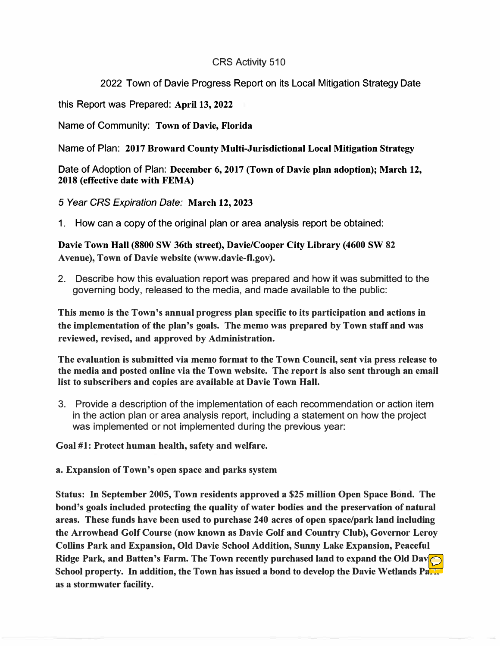## CRS Activity 510

## 2022 Town of Davie Progress Report on its Local Mitigation Strategy Date

this Report was Prepared: **April 13, 2022** 

Name of Community: **Town of Davie, Florida** 

Name of Plan: **2017 Broward County Multi-Jurisdictional Local Mitigation Strategy** 

Date of Adoption of Plan: **December 6, 2017 (Town of Davie plan adoption); March 12, 2018 (effective date with FEMA)** 

*5 Year CRS Expiration Date:* **March 12, 2023** 

1. How can a copy of the original plan or area analysis report be obtained:

**Davie Town Hall (8800 SW 36th street), Davie/Cooper City Library (4600 SW 82 Avenue), Town of Davie website (www.davie-fl.gov).** 

2. Describe how this evaluation report was prepared and how it was submitted to the governing body, released to the media, and made available to the public:

**This memo is the Town's annual progress plan specific to its participation and actions in the implementation of the plan's goals. The memo was prepared by Town staff and was reviewed, revised, and approved by Administration.** 

**The evaluation is submitted via memo format to the Town Council, sent via press release to the media and posted online via the Town website. The report is also sent through an email list to subscribers and copies are available at Davie Town Hall.** 

3. Provide a description of the implementation of each recommendation or action item in the action plan or area analysis report, including a statement on how the project was implemented or not implemented during the previous year:

**Goal #1: Protect human health, safety and welfare.** 

**a. Expansion of Town's open space and parks system**

**Status: In September 2005, Town residents approved a \$25 million Open Space Bond. The bond's goals included protecting the quality of water bodies and the preservation of natural areas. These funds have been used to purchase 240 acres of open space/park land including the Arrowhead Golf Course (now known as Davie Golf and Country Club), Governor Leroy Collins Park and Expansion, Old Davie School Addition, Sunny Lake Expansion, Peaceful Ridge Park, and Batten's Farm. The Town recently purchased land to expand the Old Dav School property. In addition, the Town has issued a bond to develop the Davie Wetlands Park as a stormwater facility.**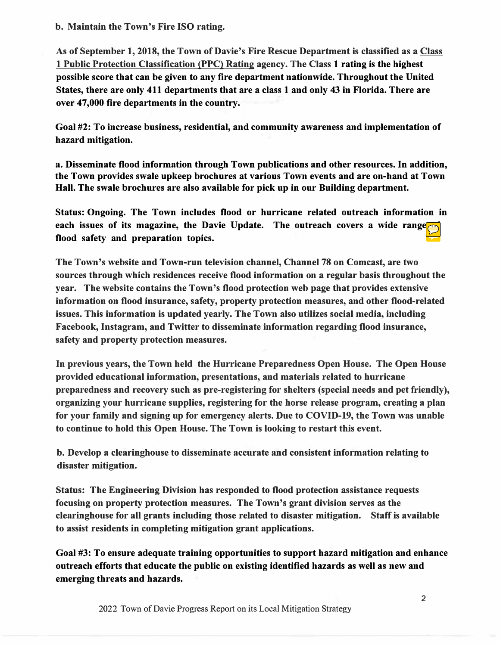**b. Maintain the Town's Fire ISO rating.**

**As of September 1, 2018, the Town of Davie's Fire Rescue Department is classified as a Class 1 Public Protection Classification (PPC) Rating agency. The Class 1 rating is the highest possible score that can be given to any fire department nationwide. Throughout the United States, there are only 411 departments that are a class 1 and only 43 in Florida. There are over 47,000 fire departments in the country.** 

**Goal #2: To increase business, residential, and community awareness and implementation of hazard mitigation.** 

**a. Disseminate flood information through Town publications and other resources. In addition, the Town provides swale upkeep brochures at various Town events and are on-hand at Town Hall. The swale brochures are also available for pick up in our Building department.**

**Status: Ongoing. The Town includes flood or hurricane related outreach information in each issues of its magazine, the Davie Update. The outreach covers a wide range flood safety and preparation topics.** 

**The Town's website and Town-run television channel, Channel 78 on Comcast, are two sources through which residences receive flood information on a regular basis throughout the year. The website contains the Town's flood protection web page that provides extensive information on flood insurance, safety, property protection measures, and other flood-related issues. This information is updated yearly. The Town also utilizes social media, including Facebook, Instagram, and Twitter to disseminate information regarding flood insurance, safety and property protection measures.** 

**In previous years, the Town held the Hurricane Preparedness Open House. The Open House provided educational information, presentations, and materials related to hurricane preparedness and recovery such as pre-registering for shelters {special needs and pet friendly), organizing your hurricane supplies, registering for the horse release program, creating a plan for your family and signing up for emergency alerts. Due to COVID-19, the Town was unable to continue to hold this Open House. The Town is looking to restart this event.**

**b. Develop a clearinghouse to disseminate accurate and consistent information relating to disaster mitigation.**

**Status: The Engineering Division has responded to flood protection assistance requests focusing on property protection measures. The Town's grant division serves as the clearinghouse for all grants including those related to disaster mitigation. Staff is available to assist residents in completing mitigation grant applications.** 

**Goal #3: To ensure adequate training opportunities to support hazard mitigation and enhance outreach efforts that educate the public on existing identified hazards as well as new and emerging threats and hazards.**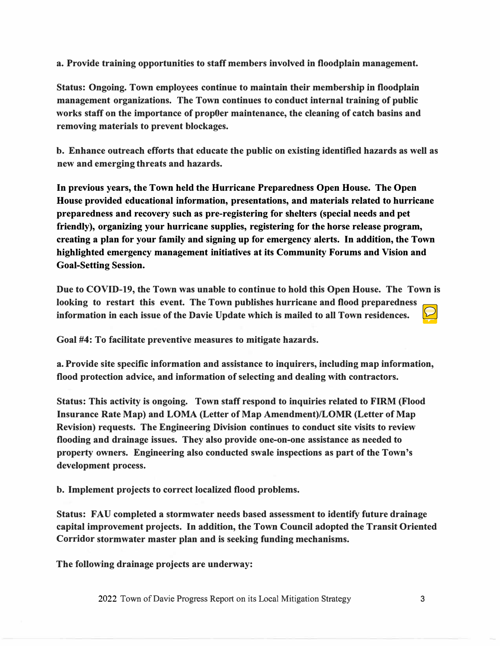**a. Provide training opportunities to staff members involved in floodplain management.**

**Status: Ongoing. Town employees continue to maintain their membership in floodplain management organizations. The Town continues to conduct internal training of public works staff on the importance of prop0er maintenance, the cleaning of catch basins and removing materials to prevent blockages.** 

**b. Enhance outreach efforts that educate the public on existing identified hazards as well as new and emerging threats and hazards.**

**In previous years, the Town held the Hurricane Preparedness Open House. The Open House provided educational information, presentations, and materials related to hurricane preparedness and recovery such as pre-registering for shelters (special needs and pet friendly), organizing your hurricane supplies, registering for the horse release program, creating a plan for your family and signing up for emergency alerts. In addition, the Town highlighted emergency management initiatives at its Community Forums and Vision and Goal-Setting Session.** 

**Due to COVID-19, the Town was unable to continue to hold this Open House. The Town is looking to restart this event. The Town publishes hurricane and flood preparedness information in each issue of the Davie Update which is mailed to all Town residences.**

**Goal #4: To facilitate preventive measures to mitigate hazards.** 

**a. Provide site specific information and assistance to inquirers, including map information, flood protection advice, and information of selecting and dealing with contractors.**

**Status: This activity is ongoing. Town staff respond to inquiries related to FIRM (Flood Insurance Rate Map) and LOMA (Letter of Map Amendment)/LOMR (Letter of Map Revision) requests. The Engineering Division continues to conduct site visits to review flooding and drainage issues. They also provide one-on-one assistance as needed to property owners. Engineering also conducted swale inspections as part of the Town's development process.** 

**b. Implement projects to correct localized flood problems.**

**Status: FAU completed a stormwater needs based assessment to identify future drainage capital improvement projects. In addition, the Town Council adopted the Transit Oriented Corridor stormwater master plan and is seeking funding mechanisms.** 

**The following drainage projects are underway:** 

2022 Town of Davie Progress Report on its Local Mitigation Strategy **3**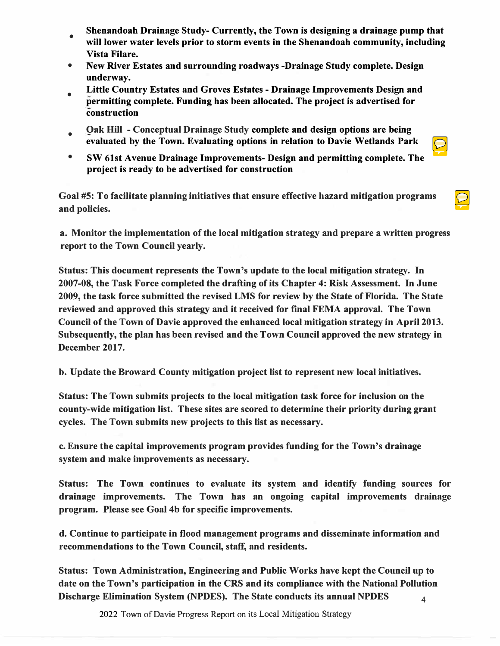- •**Shenandoah Drainage Study- Currently, the Town is designing a drainage pump that will lower water levels prior to storm events in the Shenandoah community, including Vista Filare.**
- $\bullet$ **New River Estates and surrounding roadways -Drainage Study complete. Design underway.**
- **Little Country Estates and Groves Estates - Drainage Improvements Design and permitting complete. Funding has been allocated. The project is advertised for construction**
- **Oak Hill - Conceptual Drainage Study complete and design options are being evaluated by the Town. Evaluating options in relation to Davie Wetlands Park**
- $\bullet$ **SW 61st Avenue Drainage Improvements- Design and permitting complete. The project is ready to be advertised for construction**

 $\Theta$ 

**Goal #5: To facilitate planning initiatives that ensure effective hazard mitigation programs and policies.** 

**a. Monitor the implementation of the local mitigation strategy and prepare a written progress report to the Town Council yearly.**

**Status: This document represents the Town's update to the local mitigation strategy. In 2007-08, the Task Force completed the drafting of its Chapter 4: Risk Assessment. In June 2009, the task force submitted the revised LMS for review by the State of Florida. The State reviewed and approved this strategy and it received for final FEMA approval. The Town Council of the Town of Davie approved the enhanced local mitigation strategy in April 2013. Subsequently, the plan has been revised and the Town Council approved the new strategy in December 2017.**

**b. Update the Broward County mitigation project list to represent new local initiatives.**

**Status: The Town submits projects to the local mitigation task force for inclusion on the county-wide mitigation list. These sites are scored to determine their priority during grant cycles. The Town submits new projects to this list as necessary.** 

**c. Ensure the capital improvements program provides funding for the Town's drainage system and make improvements as necessary.**

**Status: The Town continues to evaluate its system and identify funding sources for drainage improvements. The Town has an ongoing capital improvements drainage program. Please see Goal 4b for specific improvements.** 

**d. Continue to participate in flood management programs and disseminate information and recommendations to the Town Council, staff, and residents.**

**Status: Town Administration, Engineering and Public Works have kept the Council up to date on the Town's participation in the CRS and its compliance with the National Pollution Discharge Elimination System (NPDES). The State conducts its annual NPDES 4**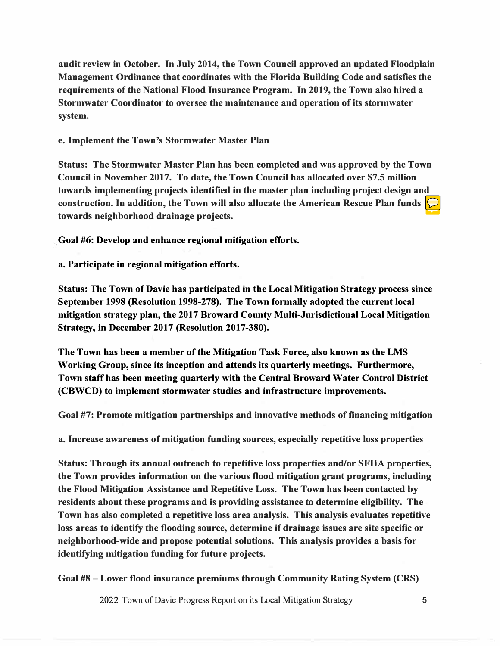**audit review in October. In July 2014, the Town Council approved an updated Floodplain Management Ordinance that coordinates with the Florida Building Code and satisfies the requirements of the National Flood Insurance Program. In 2019, the Town also hired a Stormwater Coordinator to oversee the maintenance and operation of its stormwater system.** 

## **e. Implement the Town's Stormwater Master Plan**

**Status: The Stormwater Master Plan has been completed and was approved by the Town Council in November 2017. To date, the Town Council has allocated over \$7.5 million towards implementing projects identified in the master plan including project design and construction. In addition, the Town will also allocate the American Rescue Plan funds towards neighborhood drainage projects.**

**Goal #6: Develop and enhance regional mitigation efforts.** 

**a. Participate in regional mitigation efforts.**

**Status: The Town of Davie has participated in the Local Mitigation Strategy process since September 1998 (Resolution 1998-278). The Town formally adopted the current local mitigation strategy plan, the 2017 Broward County Multi-Jurisdictional Local Mitigation Strategy, in December 2017 (Resolution 2017-380).** 

**The Town has been a member of the Mitigation Task Force, also known as the LMS Working Group, since its inception and attends its quarterly meetings. Furthermore, Town staff has been meeting quarterly with the Central Broward Water Control District (CBWCD) to implement stormwater studies and infrastructure improvements.** 

**Goal #7: Promote mitigation partnerships and innovative methods of financing mitigation** 

**a. Increase awareness of mitigation funding sources, especially repetitive loss properties**

**Status: Through its annual outreach to repetitive loss properties and/or SFHA properties, the Town provides information on the various flood mitigation grant programs, including the Flood Mitigation Assistance and Repetitive Loss. The Town has been contacted by residents about these programs and is providing assistance to determine eligibility. The Town has also completed a repetitive loss area analysis. This analysis evaluates repetitive loss areas to identify the flooding source, determine if drainage issues are site specific or neighborhood-wide and propose potential solutions. This analysis provides a basis for identifying mitigation funding for future projects.** 

**Goal #8 - Lower flood insurance premiums through Community Rating System (CRS)** 

2022 Town of Davie Progress Report on its Local Mitigation Strategy **5**